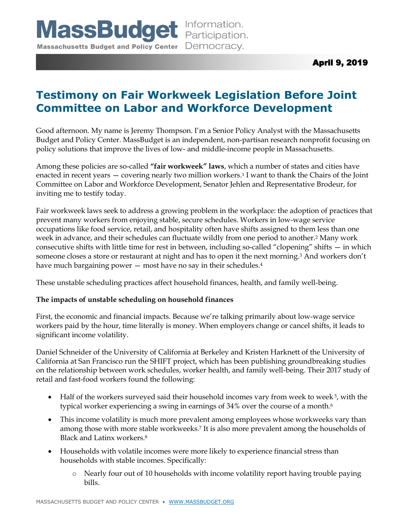# **Testimony on Fair Workweek Legislation Before Joint Committee on Labor and Workforce Development**

Good afternoon. My name is Jeremy Thompson. I'm a Senior Policy Analyst with the Massachusetts Budget and Policy Center. MassBudget is an independent, non-partisan research nonprofit focusing on policy solutions that improve the lives of low- and middle-income people in Massachusetts.

Among these policies are so-called **"fair workweek" laws**, which a number of states and cities have enacted in recent years — covering nearly two million workers.<sup>1</sup> I want to thank the Chairs of the Joint Committee on Labor and Workforce Development, Senator Jehlen and Representative Brodeur, for inviting me to testify today.

Fair workweek laws seek to address a growing problem in the workplace: the adoption of practices that prevent many workers from enjoying stable, secure schedules. Workers in low-wage service occupations like food service, retail, and hospitality often have shifts assigned to them less than one week in advance, and their schedules can fluctuate wildly from one period to another.<sup>2</sup> Many work consecutive shifts with little time for rest in between, including so-called "clopening" shifts — in which someone closes a store or restaurant at night and has to open it the next morning.<sup>3</sup> And workers don't have much bargaining power  $-$  most have no say in their schedules. $4$ 

These unstable scheduling practices affect household finances, health, and family well-being.

## **The impacts of unstable scheduling on household finances**

First, the economic and financial impacts. Because we're talking primarily about low-wage service workers paid by the hour, time literally is money. When employers change or cancel shifts, it leads to significant income volatility.

Daniel Schneider of the University of California at Berkeley and Kristen Harknett of the University of California at San Francisco run the SHIFT project, which has been publishing groundbreaking studies on the relationship between work schedules, worker health, and family well-being. Their 2017 study of retail and fast-food workers found the following:

- Half of the workers surveyed said their household incomes vary from week to week 5, with the typical worker experiencing a swing in earnings of 34% over the course of a month.<sup>6</sup>
- This income volatility is much more prevalent among employees whose workweeks vary than among those with more stable workweeks.<sup>7</sup> It is also more prevalent among the households of Black and Latinx workers.<sup>8</sup>
- Households with volatile incomes were more likely to experience financial stress than households with stable incomes. Specifically:
	- o Nearly four out of 10 households with income volatility report having trouble paying bills.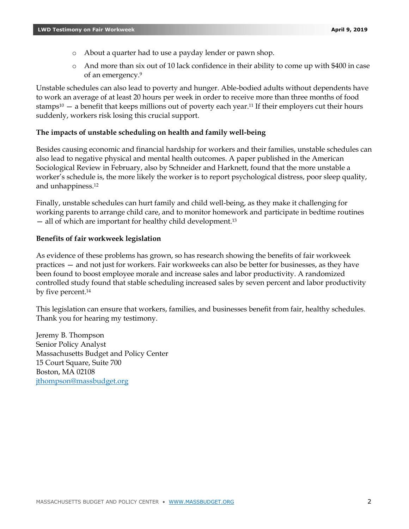- o About a quarter had to use a payday lender or pawn shop.
- o And more than six out of 10 lack confidence in their ability to come up with \$400 in case of an emergency. 9

Unstable schedules can also lead to poverty and hunger. Able-bodied adults without dependents have to work an average of at least 20 hours per week in order to receive more than three months of food stamps $10 - a$  benefit that keeps millions out of poverty each year.<sup>11</sup> If their employers cut their hours suddenly, workers risk losing this crucial support.

### **The impacts of unstable scheduling on health and family well-being**

Besides causing economic and financial hardship for workers and their families, unstable schedules can also lead to negative physical and mental health outcomes. A paper published in the American Sociological Review in February, also by Schneider and Harknett, found that the more unstable a worker's schedule is, the more likely the worker is to report psychological distress, poor sleep quality, and unhappiness.<sup>12</sup>

Finally, unstable schedules can hurt family and child well-being, as they make it challenging for working parents to arrange child care, and to monitor homework and participate in bedtime routines — all of which are important for healthy child development.<sup>13</sup>

#### **Benefits of fair workweek legislation**

As evidence of these problems has grown, so has research showing the benefits of fair workweek practices — and not just for workers. Fair workweeks can also be better for businesses, as they have been found to boost employee morale and increase sales and labor productivity. A randomized controlled study found that stable scheduling increased sales by seven percent and labor productivity by five percent. 14

This legislation can ensure that workers, families, and businesses benefit from fair, healthy schedules. Thank you for hearing my testimony.

Jeremy B. Thompson Senior Policy Analyst Massachusetts Budget and Policy Center 15 Court Square, Suite 700 Boston, MA 02108 [jthompson@massbudget.org](mailto:jthompson@massbudget.org)